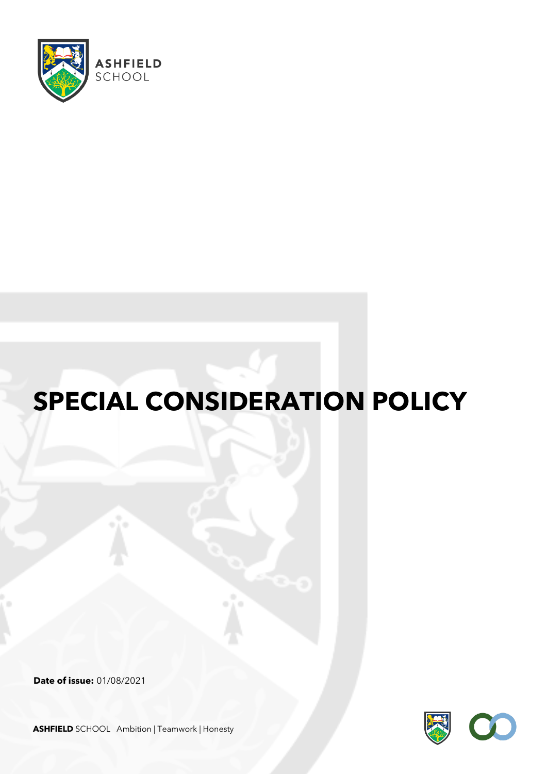

# **SPECIAL CONSIDERATION POLICY**

**Date of issue:** 01/08/2021



**ASHFIELD** SCHOOL Ambition | Teamwork | Honesty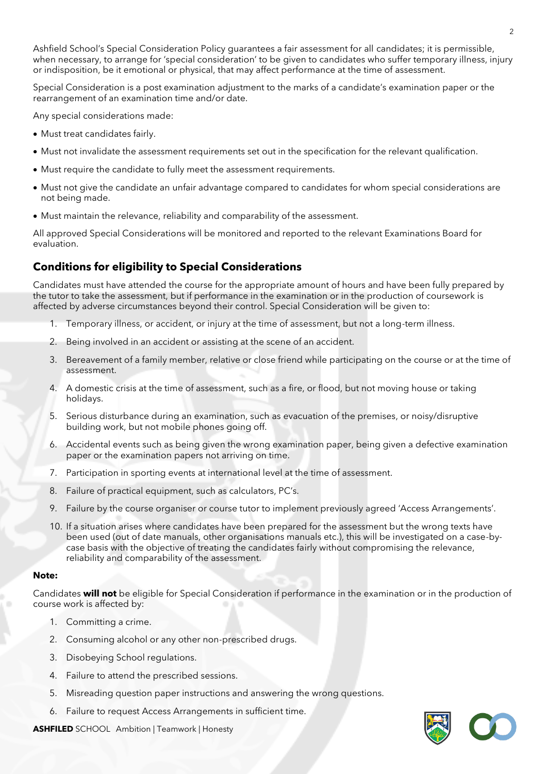Ashfield School's Special Consideration Policy guarantees a fair assessment for all candidates; it is permissible, when necessary, to arrange for 'special consideration' to be given to candidates who suffer temporary illness, injury or indisposition, be it emotional or physical, that may affect performance at the time of assessment.

Special Consideration is a post examination adjustment to the marks of a candidate's examination paper or the rearrangement of an examination time and/or date.

Any special considerations made:

- Must treat candidates fairly.
- Must not invalidate the assessment requirements set out in the specification for the relevant qualification.
- Must require the candidate to fully meet the assessment requirements.
- Must not give the candidate an unfair advantage compared to candidates for whom special considerations are not being made.
- Must maintain the relevance, reliability and comparability of the assessment.

All approved Special Considerations will be monitored and reported to the relevant Examinations Board for evaluation.

# **Conditions for eligibility to Special Considerations**

Candidates must have attended the course for the appropriate amount of hours and have been fully prepared by the tutor to take the assessment, but if performance in the examination or in the production of coursework is affected by adverse circumstances beyond their control. Special Consideration will be given to:

- 1. Temporary illness, or accident, or injury at the time of assessment, but not a long-term illness.
- 2. Being involved in an accident or assisting at the scene of an accident.
- 3. Bereavement of a family member, relative or close friend while participating on the course or at the time of assessment.
- 4. A domestic crisis at the time of assessment, such as a fire, or flood, but not moving house or taking holidays.
- 5. Serious disturbance during an examination, such as evacuation of the premises, or noisy/disruptive building work, but not mobile phones going off.
- 6. Accidental events such as being given the wrong examination paper, being given a defective examination paper or the examination papers not arriving on time.
- 7. Participation in sporting events at international level at the time of assessment.
- 8. Failure of practical equipment, such as calculators, PC's.
- 9. Failure by the course organiser or course tutor to implement previously agreed 'Access Arrangements'.
- 10. If a situation arises where candidates have been prepared for the assessment but the wrong texts have been used (out of date manuals, other organisations manuals etc.), this will be investigated on a case-bycase basis with the objective of treating the candidates fairly without compromising the relevance, reliability and comparability of the assessment.

#### **Note:**

Candidates **will not** be eligible for Special Consideration if performance in the examination or in the production of course work is affected by:

- 1. Committing a crime.
- 2. Consuming alcohol or any other non-prescribed drugs.
- 3. Disobeying School regulations.
- 4. Failure to attend the prescribed sessions.
- 5. Misreading question paper instructions and answering the wrong questions.
- 6. Failure to request Access Arrangements in sufficient time.



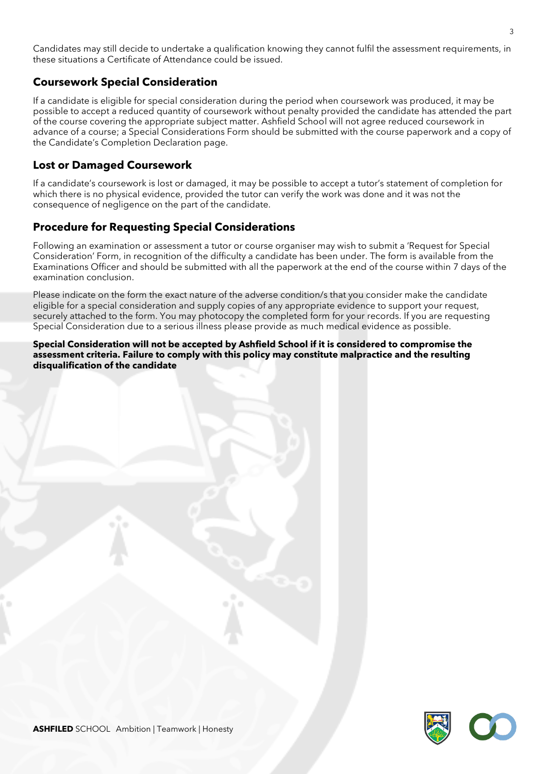Candidates may still decide to undertake a qualification knowing they cannot fulfil the assessment requirements, in these situations a Certificate of Attendance could be issued.

## **Coursework Special Consideration**

If a candidate is eligible for special consideration during the period when coursework was produced, it may be possible to accept a reduced quantity of coursework without penalty provided the candidate has attended the part of the course covering the appropriate subject matter. Ashfield School will not agree reduced coursework in advance of a course; a Special Considerations Form should be submitted with the course paperwork and a copy of the Candidate's Completion Declaration page.

## **Lost or Damaged Coursework**

If a candidate's coursework is lost or damaged, it may be possible to accept a tutor's statement of completion for which there is no physical evidence, provided the tutor can verify the work was done and it was not the consequence of negligence on the part of the candidate.

## **Procedure for Requesting Special Considerations**

Following an examination or assessment a tutor or course organiser may wish to submit a 'Request for Special Consideration' Form, in recognition of the difficulty a candidate has been under. The form is available from the Examinations Officer and should be submitted with all the paperwork at the end of the course within 7 days of the examination conclusion.

Please indicate on the form the exact nature of the adverse condition/s that you consider make the candidate eligible for a special consideration and supply copies of any appropriate evidence to support your request, securely attached to the form. You may photocopy the completed form for your records. If you are requesting Special Consideration due to a serious illness please provide as much medical evidence as possible.

**Special Consideration will not be accepted by Ashfield School if it is considered to compromise the assessment criteria. Failure to comply with this policy may constitute malpractice and the resulting disqualification of the candidate**